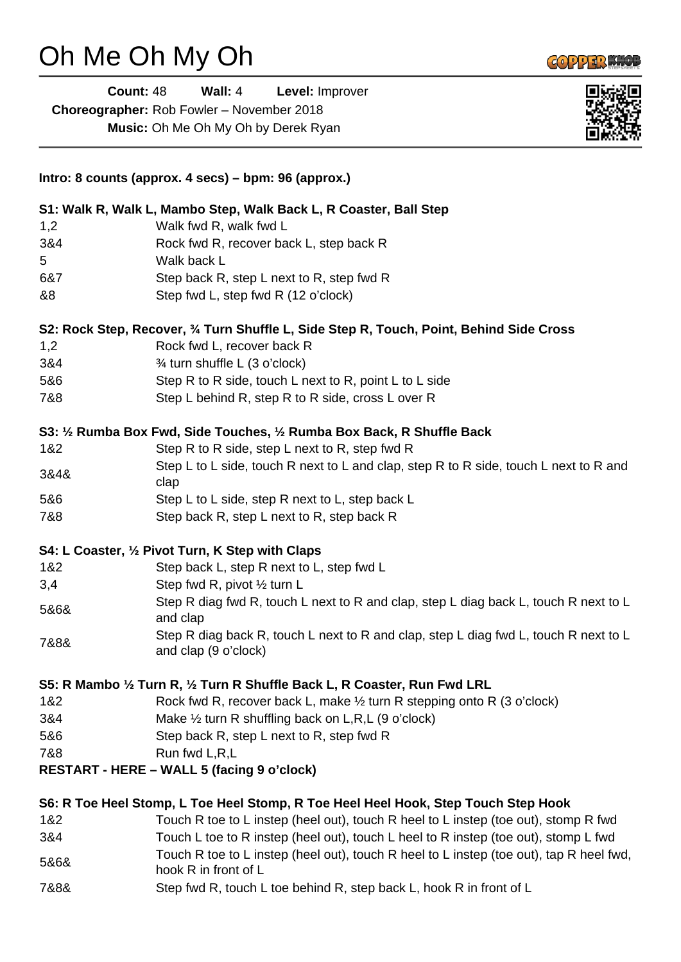## Oh Me Oh My Oh

L.

|      | <b>Count: 48</b> | Wall: 4                                                            | Level: Improver                                                                          |  |
|------|------------------|--------------------------------------------------------------------|------------------------------------------------------------------------------------------|--|
|      |                  | Choreographer: Rob Fowler - November 2018                          |                                                                                          |  |
|      |                  | Music: Oh Me Oh My Oh by Derek Ryan                                |                                                                                          |  |
|      |                  | Intro: 8 counts (approx. 4 secs) – bpm: 96 (approx.)               |                                                                                          |  |
|      |                  |                                                                    | S1: Walk R, Walk L, Mambo Step, Walk Back L, R Coaster, Ball Step                        |  |
| 1,2  |                  | Walk fwd R, walk fwd L                                             |                                                                                          |  |
| 3&4  |                  |                                                                    | Rock fwd R, recover back L, step back R                                                  |  |
| 5    |                  | Walk back L                                                        |                                                                                          |  |
| 6&7  |                  |                                                                    | Step back R, step L next to R, step fwd R                                                |  |
| &8   |                  | Step fwd L, step fwd R (12 o'clock)                                |                                                                                          |  |
|      |                  |                                                                    | S2: Rock Step, Recover, 3⁄4 Turn Shuffle L, Side Step R, Touch, Point, Behind Side Cross |  |
| 1,2  |                  | Rock fwd L, recover back R                                         |                                                                                          |  |
| 3&4  |                  | 3⁄4 turn shuffle L (3 o'clock)                                     |                                                                                          |  |
| 5&6  |                  |                                                                    | Step R to R side, touch L next to R, point L to L side                                   |  |
| 7&8  |                  |                                                                    | Step L behind R, step R to R side, cross L over R                                        |  |
|      |                  |                                                                    | S3: 1/2 Rumba Box Fwd, Side Touches, 1/2 Rumba Box Back, R Shuffle Back                  |  |
| 1&2  |                  |                                                                    | Step R to R side, step L next to R, step fwd R                                           |  |
| 3&4& |                  | clap                                                               | Step L to L side, touch R next to L and clap, step R to R side, touch L next to R and    |  |
| 5&6  |                  |                                                                    | Step L to L side, step R next to L, step back L                                          |  |
| 7&8  |                  |                                                                    | Step back R, step L next to R, step back R                                               |  |
|      |                  | S4: L Coaster, 1/2 Pivot Turn, K Step with Claps                   |                                                                                          |  |
| 1&2  |                  |                                                                    | Step back L, step R next to L, step fwd L                                                |  |
| 3,4  |                  | Step fwd R, pivot 1/2 turn L                                       |                                                                                          |  |
| 5&6& |                  | and clap                                                           | Step R diag fwd R, touch L next to R and clap, step L diag back L, touch R next to L     |  |
| 7&8& |                  | and clap (9 o'clock)                                               | Step R diag back R, touch L next to R and clap, step L diag fwd L, touch R next to L     |  |
|      |                  |                                                                    | S5: R Mambo ½ Turn R, ½ Turn R Shuffle Back L, R Coaster, Run Fwd LRL                    |  |
| 1&2  |                  |                                                                    | Rock fwd R, recover back L, make 1/2 turn R stepping onto R (3 o'clock)                  |  |
| 3&4  |                  |                                                                    | Make $\frac{1}{2}$ turn R shuffling back on L,R,L (9 o'clock)                            |  |
| 5&6  |                  |                                                                    | Step back R, step L next to R, step fwd R                                                |  |
| 7&8  |                  | Run fwd L,R,L<br><b>RESTART - HERE – WALL 5 (facing 9 o'clock)</b> |                                                                                          |  |
|      |                  |                                                                    |                                                                                          |  |
|      |                  |                                                                    | S6: R Toe Heel Stomp, L Toe Heel Stomp, R Toe Heel Heel Hook, Step Touch Step Hook       |  |
| 1&2  |                  |                                                                    | Touch R toe to L instep (heel out), touch R heel to L instep (toe out), stomp R fwd      |  |
| 3&4  |                  |                                                                    | Touch L toe to R instep (heel out), touch L heel to R instep (toe out), stomp L fwd      |  |
| 5&6& |                  | hook R in front of L                                               | Touch R toe to L instep (heel out), touch R heel to L instep (toe out), tap R heel fwd,  |  |
| 7&8& |                  |                                                                    | Step fwd R, touch L toe behind R, step back L, hook R in front of L                      |  |